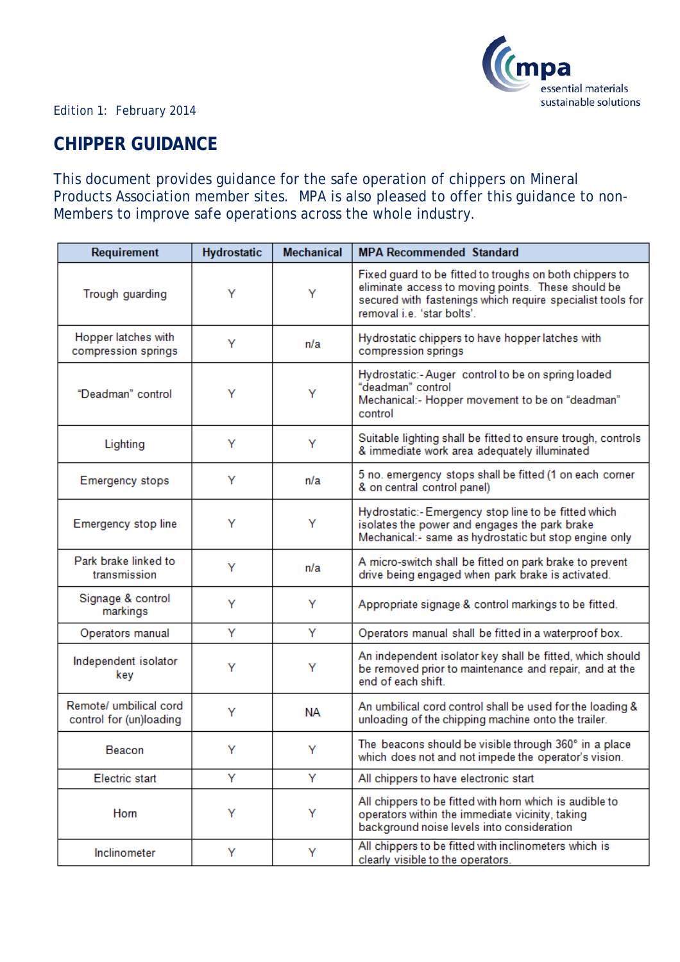

## **CHIPPER GUIDANCE**

This document provides guidance for the safe operation of chippers on Mineral Products Association member sites. MPA is also pleased to offer this guidance to non-Members to improve safe operations across the whole industry.

| Requirement                                       | Hydrostatic | <b>Mechanical</b> | <b>MPA Recommended Standard</b>                                                                                                                                                                           |
|---------------------------------------------------|-------------|-------------------|-----------------------------------------------------------------------------------------------------------------------------------------------------------------------------------------------------------|
| Trough guarding                                   | Y           | Y                 | Fixed guard to be fitted to troughs on both chippers to<br>eliminate access to moving points. These should be<br>secured with fastenings which require specialist tools for<br>removal i.e. 'star bolts'. |
| Hopper latches with<br>compression springs        | Ÿ           | n/a               | Hydrostatic chippers to have hopper latches with<br>compression springs                                                                                                                                   |
| "Deadman" control                                 | Υ           | Υ                 | Hydrostatic:- Auger control to be on spring loaded<br>"deadman" control<br>Mechanical:- Hopper movement to be on "deadman"<br>control                                                                     |
| Lighting                                          | Y           | Y                 | Suitable lighting shall be fitted to ensure trough, controls<br>& immediate work area adequately illuminated                                                                                              |
| <b>Emergency stops</b>                            | Y           | n/a               | 5 no. emergency stops shall be fitted (1 on each corner<br>& on central control panel)                                                                                                                    |
| Emergency stop line                               | Y           | Y                 | Hydrostatic:- Emergency stop line to be fitted which<br>isolates the power and engages the park brake<br>Mechanical:- same as hydrostatic but stop engine only                                            |
| Park brake linked to<br>transmission              | Y           | n/a               | A micro-switch shall be fitted on park brake to prevent<br>drive being engaged when park brake is activated.                                                                                              |
| Signage & control<br>markings                     | Ÿ           | Y                 | Appropriate signage & control markings to be fitted.                                                                                                                                                      |
| Operators manual                                  | Y           | Y                 | Operators manual shall be fitted in a waterproof box.                                                                                                                                                     |
| Independent isolator<br>key                       | Y           | Υ                 | An independent isolator key shall be fitted, which should<br>be removed prior to maintenance and repair, and at the<br>end of each shift.                                                                 |
| Remote/ umbilical cord<br>control for (un)loading | Ÿ           | <b>NA</b>         | An umbilical cord control shall be used for the loading &<br>unloading of the chipping machine onto the trailer.                                                                                          |
| Beacon                                            | Υ           | Υ                 | The beacons should be visible through 360° in a place<br>which does not and not impede the operator's vision.                                                                                             |
| Electric start                                    | Y           | Y                 | All chippers to have electronic start                                                                                                                                                                     |
| Horn                                              | Υ           | Υ                 | All chippers to be fitted with horn which is audible to<br>operators within the immediate vicinity, taking<br>background noise levels into consideration                                                  |
| Inclinometer                                      | Y           | Υ                 | All chippers to be fitted with inclinometers which is<br>clearly visible to the operators.                                                                                                                |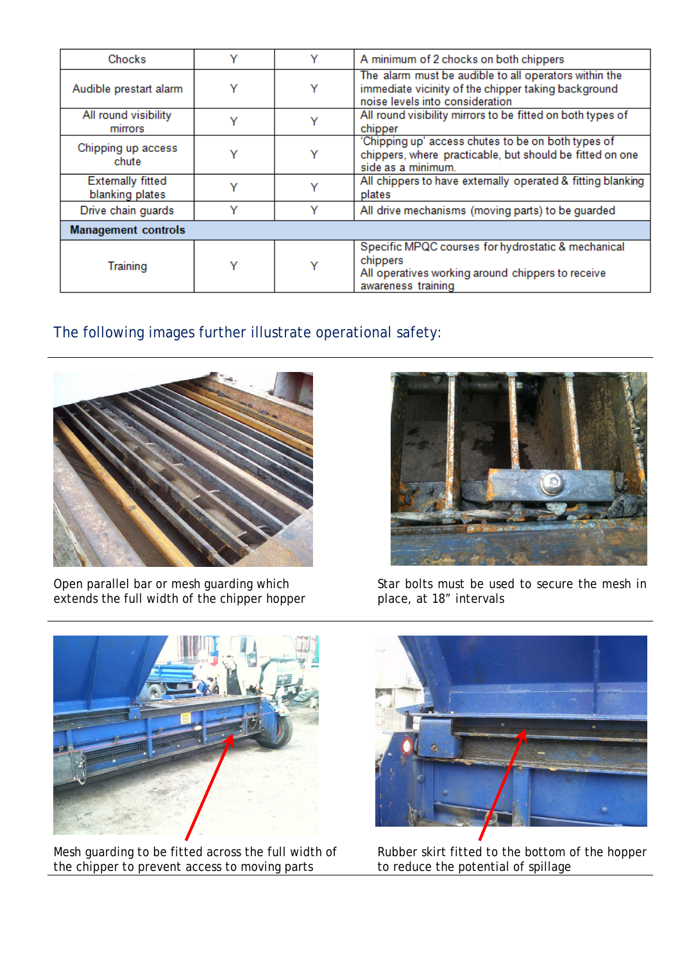| Chocks                                      | v | Y | A minimum of 2 chocks on both chippers                                                                                                          |  |
|---------------------------------------------|---|---|-------------------------------------------------------------------------------------------------------------------------------------------------|--|
| Audible prestart alarm                      | Y | Y | The alarm must be audible to all operators within the<br>immediate vicinity of the chipper taking background<br>noise levels into consideration |  |
| All round visibility<br>mirrors             | v | Y | All round visibility mirrors to be fitted on both types of<br>chipper                                                                           |  |
| Chipping up access<br>chute                 | v | Y | 'Chipping up' access chutes to be on both types of<br>chippers, where practicable, but should be fitted on one<br>side as a minimum.            |  |
| <b>Externally fitted</b><br>blanking plates | v | Y | All chippers to have externally operated & fitting blanking<br>plates                                                                           |  |
| Drive chain guards                          | v | Y | All drive mechanisms (moving parts) to be guarded                                                                                               |  |
| <b>Management controls</b>                  |   |   |                                                                                                                                                 |  |
| Training                                    | Y | Y | Specific MPQC courses for hydrostatic & mechanical<br>chippers<br>All operatives working around chippers to receive<br>awareness training       |  |

## The following images further illustrate operational safety:



Open parallel bar or mesh guarding which extends the full width of the chipper hopper



Star bolts must be used to secure the mesh in place, at 18" intervals



Mesh guarding to be fitted across the full width of the chipper to prevent access to moving parts



Rubber skirt fitted to the bottom of the hopper to reduce the potential of spillage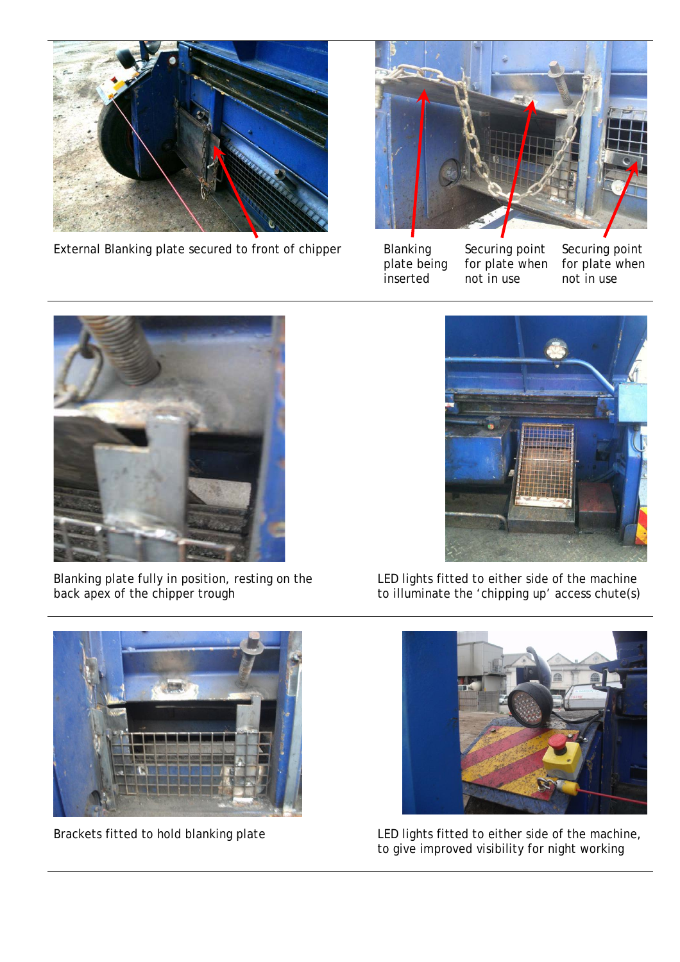

External Blanking plate secured to front of chipper Blanking



plate being inserted

Securing point for plate when not in use

Securing point for plate when not in use



Blanking plate fully in position, resting on the back apex of the chipper trough



LED lights fitted to either side of the machine to illuminate the 'chipping up' access chute(s)





Brackets fitted to hold blanking plate LED lights fitted to either side of the machine, to give improved visibility for night working